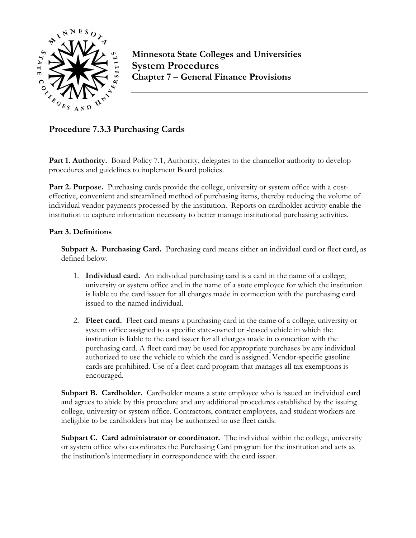

**Minnesota State Colleges and Universities System Procedures Chapter 7 – General Finance Provisions**

**Procedure 7.3.3 Purchasing Cards**

Part 1. Authority. Board Policy 7.1, Authority, delegates to the chancellor authority to develop procedures and guidelines to implement Board policies.

**Part 2. Purpose.** Purchasing cards provide the college, university or system office with a costeffective, convenient and streamlined method of purchasing items, thereby reducing the volume of individual vendor payments processed by the institution. Reports on cardholder activity enable the institution to capture information necessary to better manage institutional purchasing activities.

## **Part 3. Definitions**

**Subpart A. Purchasing Card.** Purchasing card means either an individual card or fleet card, as defined below.

- 1. **Individual card.** An individual purchasing card is a card in the name of a college, university or system office and in the name of a state employee for which the institution is liable to the card issuer for all charges made in connection with the purchasing card issued to the named individual.
- 2. **Fleet card.** Fleet card means a purchasing card in the name of a college, university or system office assigned to a specific state-owned or -leased vehicle in which the institution is liable to the card issuer for all charges made in connection with the purchasing card. A fleet card may be used for appropriate purchases by any individual authorized to use the vehicle to which the card is assigned. Vendor-specific gasoline cards are prohibited. Use of a fleet card program that manages all tax exemptions is encouraged.

**Subpart B. Cardholder.** Cardholder means a state employee who is issued an individual card and agrees to abide by this procedure and any additional procedures established by the issuing college, university or system office. Contractors, contract employees, and student workers are ineligible to be cardholders but may be authorized to use fleet cards.

**Subpart C. Card administrator or coordinator.** The individual within the college, university or system office who coordinates the Purchasing Card program for the institution and acts as the institution's intermediary in correspondence with the card issuer.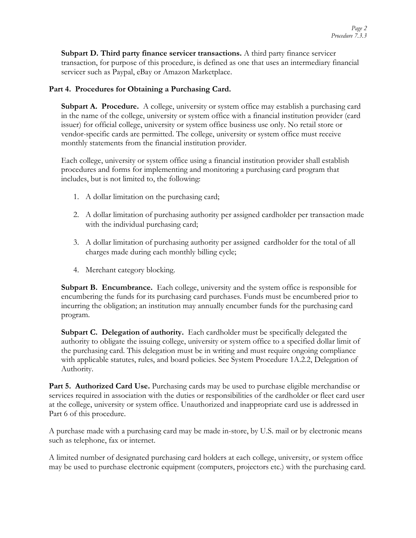**Subpart D. Third party finance servicer transactions.** A third party finance servicer transaction, for purpose of this procedure, is defined as one that uses an intermediary financial servicer such as Paypal, eBay or Amazon Marketplace.

## **Part 4. Procedures for Obtaining a Purchasing Card.**

**Subpart A. Procedure.** A college, university or system office may establish a purchasing card in the name of the college, university or system office with a financial institution provider (card issuer) for official college, university or system office business use only. No retail store or vendor-specific cards are permitted. The college, university or system office must receive monthly statements from the financial institution provider.

Each college, university or system office using a financial institution provider shall establish procedures and forms for implementing and monitoring a purchasing card program that includes, but is not limited to, the following:

- 1. A dollar limitation on the purchasing card;
- 2. A dollar limitation of purchasing authority per assigned cardholder per transaction made with the individual purchasing card;
- 3. A dollar limitation of purchasing authority per assigned cardholder for the total of all charges made during each monthly billing cycle;
- 4. Merchant category blocking.

**Subpart B. Encumbrance.** Each college, university and the system office is responsible for encumbering the funds for its purchasing card purchases. Funds must be encumbered prior to incurring the obligation; an institution may annually encumber funds for the purchasing card program.

**Subpart C. Delegation of authority.** Each cardholder must be specifically delegated the authority to obligate the issuing college, university or system office to a specified dollar limit of the purchasing card. This delegation must be in writing and must require ongoing compliance with applicable statutes, rules, and board policies. See System Procedure 1A.2.2, Delegation of Authority.

**Part 5. Authorized Card Use.** Purchasing cards may be used to purchase eligible merchandise or services required in association with the duties or responsibilities of the cardholder or fleet card user at the college, university or system office. Unauthorized and inappropriate card use is addressed in Part 6 of this procedure.

A purchase made with a purchasing card may be made in-store, by U.S. mail or by electronic means such as telephone, fax or internet.

A limited number of designated purchasing card holders at each college, university, or system office may be used to purchase electronic equipment (computers, projectors etc.) with the purchasing card.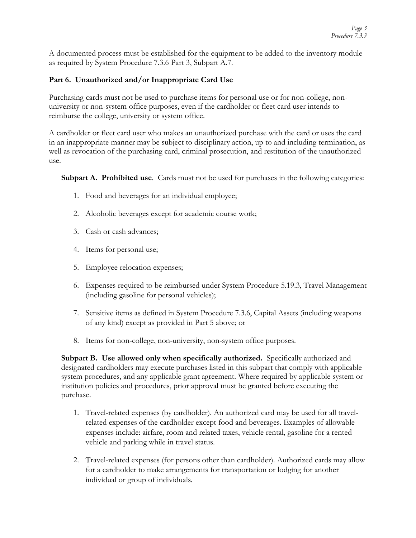A documented process must be established for the equipment to be added to the inventory module as required by System Procedure 7.3.6 Part 3, Subpart A.7.

# **Part 6. Unauthorized and/or Inappropriate Card Use**

Purchasing cards must not be used to purchase items for personal use or for non-college, nonuniversity or non-system office purposes, even if the cardholder or fleet card user intends to reimburse the college, university or system office.

A cardholder or fleet card user who makes an unauthorized purchase with the card or uses the card in an inappropriate manner may be subject to disciplinary action, up to and including termination, as well as revocation of the purchasing card, criminal prosecution, and restitution of the unauthorized use.

**Subpart A. Prohibited use**. Cards must not be used for purchases in the following categories:

- 1. Food and beverages for an individual employee;
- 2. Alcoholic beverages except for academic course work;
- 3. Cash or cash advances;
- 4. Items for personal use;
- 5. Employee relocation expenses;
- 6. Expenses required to be reimbursed under System Procedure 5.19.3, Travel Management (including gasoline for personal vehicles);
- 7. Sensitive items as defined in System Procedure 7.3.6, Capital Assets (including weapons of any kind) except as provided in Part 5 above; or
- 8. Items for non-college, non-university, non-system office purposes.

**Subpart B. Use allowed only when specifically authorized.** Specifically authorized and designated cardholders may execute purchases listed in this subpart that comply with applicable system procedures, and any applicable grant agreement. Where required by applicable system or institution policies and procedures, prior approval must be granted before executing the purchase.

- 1. Travel-related expenses (by cardholder). An authorized card may be used for all travelrelated expenses of the cardholder except food and beverages. Examples of allowable expenses include: airfare, room and related taxes, vehicle rental, gasoline for a rented vehicle and parking while in travel status.
- 2. Travel-related expenses (for persons other than cardholder). Authorized cards may allow for a cardholder to make arrangements for transportation or lodging for another individual or group of individuals.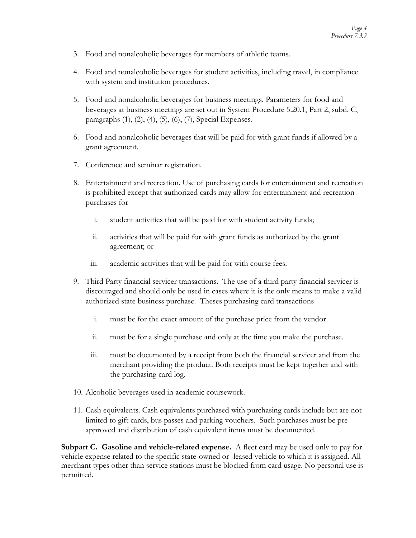- 3. Food and nonalcoholic beverages for members of athletic teams.
- 4. Food and nonalcoholic beverages for student activities, including travel, in compliance with system and institution procedures.
- 5. Food and nonalcoholic beverages for business meetings. Parameters for food and beverages at business meetings are set out in System Procedure 5.20.1, Part 2, subd. C, paragraphs (1), (2), (4), (5), (6), (7), Special Expenses.
- 6. Food and nonalcoholic beverages that will be paid for with grant funds if allowed by a grant agreement.
- 7. Conference and seminar registration.
- 8. Entertainment and recreation. Use of purchasing cards for entertainment and recreation is prohibited except that authorized cards may allow for entertainment and recreation purchases for
	- i. student activities that will be paid for with student activity funds;
	- ii. activities that will be paid for with grant funds as authorized by the grant agreement; or
	- iii. academic activities that will be paid for with course fees.
- 9. Third Party financial servicer transactions. The use of a third party financial servicer is discouraged and should only be used in cases where it is the only means to make a valid authorized state business purchase. Theses purchasing card transactions
	- i. must be for the exact amount of the purchase price from the vendor.
	- ii. must be for a single purchase and only at the time you make the purchase.
	- iii. must be documented by a receipt from both the financial servicer and from the merchant providing the product. Both receipts must be kept together and with the purchasing card log.
- 10. Alcoholic beverages used in academic coursework.
- 11. Cash equivalents. Cash equivalents purchased with purchasing cards include but are not limited to gift cards, bus passes and parking vouchers. Such purchases must be preapproved and distribution of cash equivalent items must be documented.

**Subpart C. Gasoline and vehicle-related expense.** A fleet card may be used only to pay for vehicle expense related to the specific state-owned or -leased vehicle to which it is assigned. All merchant types other than service stations must be blocked from card usage. No personal use is permitted.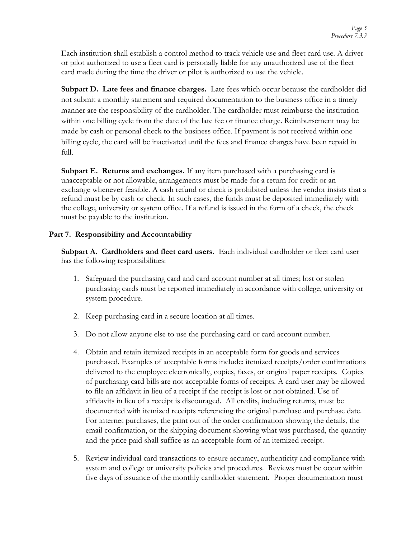Each institution shall establish a control method to track vehicle use and fleet card use. A driver or pilot authorized to use a fleet card is personally liable for any unauthorized use of the fleet card made during the time the driver or pilot is authorized to use the vehicle.

**Subpart D. Late fees and finance charges.** Late fees which occur because the cardholder did not submit a monthly statement and required documentation to the business office in a timely manner are the responsibility of the cardholder. The cardholder must reimburse the institution within one billing cycle from the date of the late fee or finance charge. Reimbursement may be made by cash or personal check to the business office. If payment is not received within one billing cycle, the card will be inactivated until the fees and finance charges have been repaid in full.

**Subpart E. Returns and exchanges.** If any item purchased with a purchasing card is unacceptable or not allowable, arrangements must be made for a return for credit or an exchange whenever feasible. A cash refund or check is prohibited unless the vendor insists that a refund must be by cash or check. In such cases, the funds must be deposited immediately with the college, university or system office. If a refund is issued in the form of a check, the check must be payable to the institution.

## **Part 7. Responsibility and Accountability**

**Subpart A. Cardholders and fleet card users.** Each individual cardholder or fleet card user has the following responsibilities:

- 1. Safeguard the purchasing card and card account number at all times; lost or stolen purchasing cards must be reported immediately in accordance with college, university or system procedure.
- 2. Keep purchasing card in a secure location at all times.
- 3. Do not allow anyone else to use the purchasing card or card account number.
- 4. Obtain and retain itemized receipts in an acceptable form for goods and services purchased. Examples of acceptable forms include: itemized receipts/order confirmations delivered to the employee electronically, copies, faxes, or original paper receipts. Copies of purchasing card bills are not acceptable forms of receipts. A card user may be allowed to file an affidavit in lieu of a receipt if the receipt is lost or not obtained. Use of affidavits in lieu of a receipt is discouraged. All credits, including returns, must be documented with itemized receipts referencing the original purchase and purchase date. For internet purchases, the print out of the order confirmation showing the details, the email confirmation, or the shipping document showing what was purchased, the quantity and the price paid shall suffice as an acceptable form of an itemized receipt.
- 5. Review individual card transactions to ensure accuracy, authenticity and compliance with system and college or university policies and procedures. Reviews must be occur within five days of issuance of the monthly cardholder statement. Proper documentation must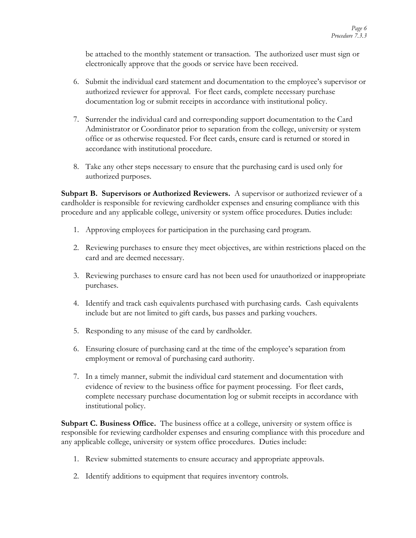be attached to the monthly statement or transaction. The authorized user must sign or electronically approve that the goods or service have been received.

- 6. Submit the individual card statement and documentation to the employee's supervisor or authorized reviewer for approval. For fleet cards, complete necessary purchase documentation log or submit receipts in accordance with institutional policy.
- 7. Surrender the individual card and corresponding support documentation to the Card Administrator or Coordinator prior to separation from the college, university or system office or as otherwise requested. For fleet cards, ensure card is returned or stored in accordance with institutional procedure.
- 8. Take any other steps necessary to ensure that the purchasing card is used only for authorized purposes.

**Subpart B. Supervisors or Authorized Reviewers.** A supervisor or authorized reviewer of a cardholder is responsible for reviewing cardholder expenses and ensuring compliance with this procedure and any applicable college, university or system office procedures. Duties include:

- 1. Approving employees for participation in the purchasing card program.
- 2. Reviewing purchases to ensure they meet objectives, are within restrictions placed on the card and are deemed necessary.
- 3. Reviewing purchases to ensure card has not been used for unauthorized or inappropriate purchases.
- 4. Identify and track cash equivalents purchased with purchasing cards. Cash equivalents include but are not limited to gift cards, bus passes and parking vouchers.
- 5. Responding to any misuse of the card by cardholder.
- 6. Ensuring closure of purchasing card at the time of the employee's separation from employment or removal of purchasing card authority.
- 7. In a timely manner, submit the individual card statement and documentation with evidence of review to the business office for payment processing. For fleet cards, complete necessary purchase documentation log or submit receipts in accordance with institutional policy.

**Subpart C. Business Office.** The business office at a college, university or system office is responsible for reviewing cardholder expenses and ensuring compliance with this procedure and any applicable college, university or system office procedures. Duties include:

- 1. Review submitted statements to ensure accuracy and appropriate approvals.
- 2. Identify additions to equipment that requires inventory controls.